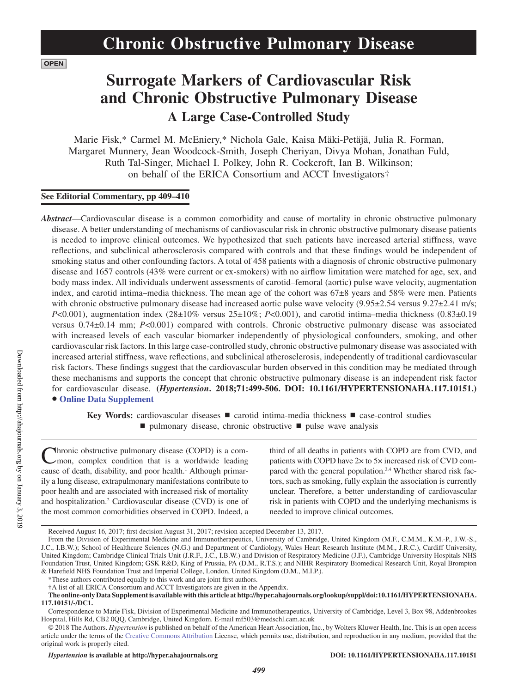**OPEN** 

# **Surrogate Markers of Cardiovascular Risk and Chronic Obstructive Pulmonary Disease A Large Case-Controlled Study**

Marie Fisk,\* Carmel M. McEniery,\* Nichola Gale, Kaisa Mäki-Petäjä, Julia R. Forman, Margaret Munnery, Jean Woodcock-Smith, Joseph Cheriyan, Divya Mohan, Jonathan Fuld, Ruth Tal-Singer, Michael I. Polkey, John R. Cockcroft, Ian B. Wilkinson; on behalf of the ERICA Consortium and ACCT Investigators†

# **See Editorial Commentary, pp 409–410**

*Abstract*—Cardiovascular disease is a common comorbidity and cause of mortality in chronic obstructive pulmonary disease. A better understanding of mechanisms of cardiovascular risk in chronic obstructive pulmonary disease patients is needed to improve clinical outcomes. We hypothesized that such patients have increased arterial stiffness, wave reflections, and subclinical atherosclerosis compared with controls and that these findings would be independent of smoking status and other confounding factors. A total of 458 patients with a diagnosis of chronic obstructive pulmonary disease and 1657 controls (43% were current or ex-smokers) with no airflow limitation were matched for age, sex, and body mass index. All individuals underwent assessments of carotid–femoral (aortic) pulse wave velocity, augmentation index, and carotid intima–media thickness. The mean age of the cohort was 67±8 years and 58% were men. Patients with chronic obstructive pulmonary disease had increased aortic pulse wave velocity (9.95±2.54 versus 9.27±2.41 m/s; *P*<0.001), augmentation index (28±10% versus 25±10%; *P*<0.001), and carotid intima–media thickness (0.83±0.19 versus 0.74±0.14 mm; *P*<0.001) compared with controls. Chronic obstructive pulmonary disease was associated with increased levels of each vascular biomarker independently of physiological confounders, smoking, and other cardiovascular risk factors. In this large case-controlled study, chronic obstructive pulmonary disease was associated with increased arterial stiffness, wave reflections, and subclinical atherosclerosis, independently of traditional cardiovascular risk factors. These findings suggest that the cardiovascular burden observed in this condition may be mediated through these mechanisms and supports the concept that chronic obstructive pulmonary disease is an independent risk factor for cardiovascular disease. **(***Hypertension***. 2018;71:499-506. DOI: 10.1161/HYPERTENSIONAHA.117.10151.)** • **Online Data Supplement**

**Key Words:** cardiovascular diseases ■ carotid intima-media thickness ■ case-control studies ■ pulmonary disease, chronic obstructive ■ pulse wave analysis

**N**hronic obstructive pulmonary disease (COPD) is a common, complex condition that is a worldwide leading cause of death, disability, and poor health.<sup>1</sup> Although primarily a lung disease, extrapulmonary manifestations contribute to poor health and are associated with increased risk of mortality and hospitalization.2 Cardiovascular disease (CVD) is one of the most common comorbidities observed in COPD. Indeed, a

third of all deaths in patients with COPD are from CVD, and patients with COPD have 2× to 5× increased risk of CVD compared with the general population.<sup>3,4</sup> Whether shared risk factors, such as smoking, fully explain the association is currently unclear. Therefore, a better understanding of cardiovascular risk in patients with COPD and the underlying mechanisms is needed to improve clinical outcomes.

Received August 16, 2017; first decision August 31, 2017; revision accepted December 13, 2017.

From the Division of Experimental Medicine and Immunotherapeutics, University of Cambridge, United Kingdom (M.F., C.M.M., K.M.-P., J.W.-S., J.C., I.B.W.); School of Healthcare Sciences (N.G.) and Department of Cardiology, Wales Heart Research Institute (M.M., J.R.C.), Cardiff University, United Kingdom; Cambridge Clinical Trials Unit (J.R.F., J.C., I.B.W.) and Division of Respiratory Medicine (J.F.), Cambridge University Hospitals NHS Foundation Trust, United Kingdom; GSK R&D, King of Prussia, PA (D.M., R.T.S.); and NIHR Respiratory Biomedical Research Unit, Royal Brompton & Harefield NHS Foundation Trust and Imperial College, London, United Kingdom (D.M., M.I.P.).

<sup>\*</sup>These authors contributed equally to this work and are joint first authors.

<sup>†</sup>A list of all ERICA Consortium and ACCT Investigators are given in the Appendix.

**The online-only Data Supplement is available with this article at http://hyper.ahajournals.org/lookup/suppl/doi:10.1161/HYPERTENSIONAHA. 117.10151/-/DC1.**

Correspondence to Marie Fisk, Division of Experimental Medicine and Immunotherapeutics, University of Cambridge, Level 3, Box 98, Addenbrookes Hospital, Hills Rd, CB2 0QQ, Cambridge, United Kingdom. E-mail [mf503@medschl.cam.ac.uk](mailto:mf503@medschl.cam.ac.uk)

<sup>© 2018</sup> The Authors. *Hypertension* is published on behalf of the American Heart Association, Inc., by Wolters Kluwer Health, Inc. This is an open access article under the terms of the Creative Commons Attribution License, which permits use, distribution, and reproduction in any medium, provided that the original work is properly cited.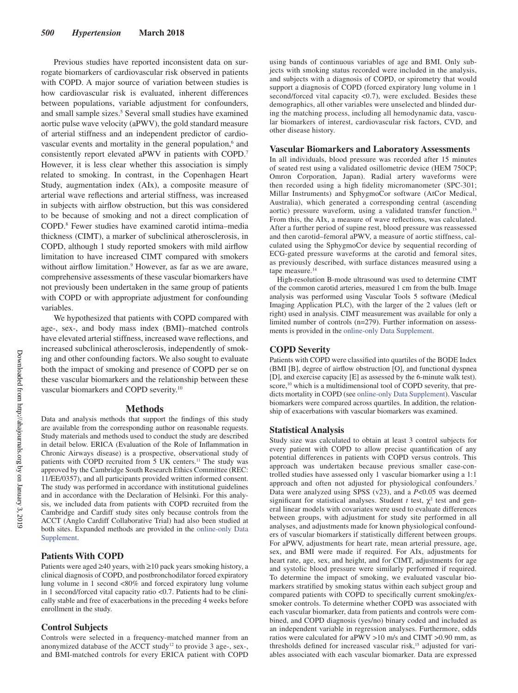Previous studies have reported inconsistent data on surrogate biomarkers of cardiovascular risk observed in patients with COPD. A major source of variation between studies is how cardiovascular risk is evaluated, inherent differences between populations, variable adjustment for confounders, and small sample sizes.<sup>5</sup> Several small studies have examined aortic pulse wave velocity (aPWV), the gold standard measure of arterial stiffness and an independent predictor of cardiovascular events and mortality in the general population,<sup>6</sup> and consistently report elevated aPWV in patients with COPD.7 However, it is less clear whether this association is simply related to smoking. In contrast, in the Copenhagen Heart Study, augmentation index (AIx), a composite measure of arterial wave reflections and arterial stiffness, was increased in subjects with airflow obstruction, but this was considered to be because of smoking and not a direct complication of COPD.8 Fewer studies have examined carotid intima–media thickness (CIMT), a marker of subclinical atherosclerosis, in COPD, although 1 study reported smokers with mild airflow limitation to have increased CIMT compared with smokers without airflow limitation.<sup>9</sup> However, as far as we are aware, comprehensive assessments of these vascular biomarkers have not previously been undertaken in the same group of patients with COPD or with appropriate adjustment for confounding variables.

We hypothesized that patients with COPD compared with age-, sex-, and body mass index (BMI)–matched controls have elevated arterial stiffness, increased wave reflections, and increased subclinical atherosclerosis, independently of smoking and other confounding factors. We also sought to evaluate both the impact of smoking and presence of COPD per se on these vascular biomarkers and the relationship between these vascular biomarkers and COPD severity.10

## **Methods**

Data and analysis methods that support the findings of this study are available from the corresponding author on reasonable requests. Study materials and methods used to conduct the study are described in detail below. ERICA (Evaluation of the Role of Inflammation in Chronic Airways disease) is a prospective, observational study of patients with COPD recruited from 5 UK centers.<sup>11</sup> The study was approved by the Cambridge South Research Ethics Committee (REC: 11/EE/0357), and all participants provided written informed consent. The study was performed in accordance with institutional guidelines and in accordance with the Declaration of Helsinki. For this analysis, we included data from patients with COPD recruited from the Cambridge and Cardiff study sites only because controls from the ACCT (Anglo Cardiff Collaborative Trial) had also been studied at both sites. Expanded methods are provided in the online-only Data Supplement.

## **Patients With COPD**

Patients were aged ≥40 years, with ≥10 pack years smoking history, a clinical diagnosis of COPD, and postbronchodilator forced expiratory lung volume in 1 second <80% and forced expiratory lung volume in 1 second/forced vital capacity ratio <0.7. Patients had to be clinically stable and free of exacerbations in the preceding 4 weeks before enrollment in the study.

## **Control Subjects**

Controls were selected in a frequency-matched manner from an anonymized database of the ACCT study<sup>12</sup> to provide 3 age-, sex-, and BMI-matched controls for every ERICA patient with COPD

using bands of continuous variables of age and BMI. Only subjects with smoking status recorded were included in the analysis, and subjects with a diagnosis of COPD, or spirometry that would support a diagnosis of COPD (forced expiratory lung volume in 1 second/forced vital capacity <0.7), were excluded. Besides these demographics, all other variables were unselected and blinded during the matching process, including all hemodynamic data, vascular biomarkers of interest, cardiovascular risk factors, CVD, and other disease history.

#### **Vascular Biomarkers and Laboratory Assessments**

In all individuals, blood pressure was recorded after 15 minutes of seated rest using a validated osillometric device (HEM 750CP; Omron Corporation, Japan). Radial artery waveforms were then recorded using a high fidelity micromanometer (SPC-301; Millar Instruments) and SphygmoCor software (AtCor Medical, Australia), which generated a corresponding central (ascending aortic) pressure waveform, using a validated transfer function.<sup>13</sup> From this, the AIx, a measure of wave reflections, was calculated. After a further period of supine rest, blood pressure was reassessed and then carotid–femoral aPWV, a measure of aortic stiffness, calculated using the SphygmoCor device by sequential recording of ECG-gated pressure waveforms at the carotid and femoral sites, as previously described, with surface distances measured using a tape measure.<sup>14</sup>

High-resolution B-mode ultrasound was used to determine CIMT of the common carotid arteries, measured 1 cm from the bulb. Image analysis was performed using Vascular Tools 5 software (Medical Imaging Application PLC), with the larger of the 2 values (left or right) used in analysis. CIMT measurement was available for only a limited number of controls (n=279). Further information on assessments is provided in the online-only Data Supplement.

## **COPD Severity**

Patients with COPD were classified into quartiles of the BODE Index (BMI [B], degree of airflow obstruction [O], and functional dyspnea [D], and exercise capacity [E] as assessed by the 6-minute walk test). score,<sup>10</sup> which is a multidimensional tool of COPD severity, that predicts mortality in COPD (see online-only Data Supplement). Vascular biomarkers were compared across quartiles. In addition, the relationship of exacerbations with vascular biomarkers was examined.

## **Statistical Analysis**

Study size was calculated to obtain at least 3 control subjects for every patient with COPD to allow precise quantification of any potential differences in patients with COPD versus controls. This approach was undertaken because previous smaller case-controlled studies have assessed only 1 vascular biomarker using a 1:1 approach and often not adjusted for physiological confounders.<sup>7</sup> Data were analyzed using SPSS (v23), and a *P*<0.05 was deemed significant for statistical analyses. Student  $t$  test,  $\chi^2$  test and general linear models with covariates were used to evaluate differences between groups, with adjustment for study site performed in all analyses, and adjustments made for known physiological confounders of vascular biomarkers if statistically different between groups. For aPWV, adjustments for heart rate, mean arterial pressure, age, sex, and BMI were made if required. For AIx, adjustments for heart rate, age, sex, and height, and for CIMT, adjustments for age and systolic blood pressure were similarly performed if required. To determine the impact of smoking, we evaluated vascular biomarkers stratified by smoking status within each subject group and compared patients with COPD to specifically current smoking/exsmoker controls. To determine whether COPD was associated with each vascular biomarker, data from patients and controls were combined, and COPD diagnosis (yes/no) binary coded and included as an independent variable in regression analyses. Furthermore, odds ratios were calculated for aPWV >10 m/s and CIMT >0.90 mm, as thresholds defined for increased vascular risk,<sup>15</sup> adjusted for variables associated with each vascular biomarker. Data are expressed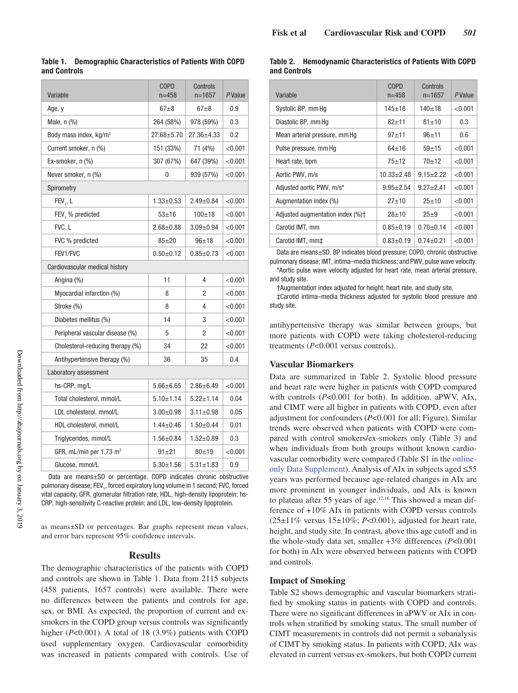| Variable                             | <b>COPD</b><br>$n = 458$ | Controls<br>$n = 1657$ |            |  |  |
|--------------------------------------|--------------------------|------------------------|------------|--|--|
| Age, y                               | $67 + 8$<br>$67 + 8$     |                        | 0.9        |  |  |
| Male, $n$ $\left(\frac{9}{6}\right)$ | 264 (58%)                | 978 (59%)              |            |  |  |
| Body mass index, kg/m <sup>2</sup>   | $27.68 + 5.70$           | $27.36 + 4.33$         |            |  |  |
| Current smoker, n (%)                | 151 (33%)<br>71 (4%)     |                        | < 0.001    |  |  |
| Ex-smoker, $n$ $(\%)$                | 307 (67%)<br>647 (39%)   |                        | < 0.001    |  |  |
| Never smoker, n (%)                  | 0<br>939 (57%)           |                        | < 0.001    |  |  |
| Spirometry                           |                          |                        |            |  |  |
| FEV, L                               | $1.33 + 0.53$            | $2.49 \pm 0.84$        | < 0.001    |  |  |
| FEV, % predicted                     | $53 + 16$                | $100 + 18$             | < 0.001    |  |  |
| FVC. L                               | $2.68 + 0.88$            | $3.09 \pm 0.94$        | < 0.001    |  |  |
| FVC % predicted                      | $85 + 20$                | $96 + 18$              | < 0.001    |  |  |
| FEV1/FVC                             | $0.50 + 0.12$            | $0.85 + 0.73$          | < 0.001    |  |  |
| Cardiovascular medical history       |                          |                        |            |  |  |
| Angina (%)                           | 11                       | 4                      | < 0.001    |  |  |
| Myocardial infarction (%)            | 8                        | 2                      | ${<}0.001$ |  |  |
| Stroke (%)                           | 8<br>4                   |                        | < 0.001    |  |  |
| Diabetes mellitus (%)                | 14<br>3                  |                        | < 0.001    |  |  |
| Peripheral vascular disease (%)      | 5<br>2                   |                        | < 0.001    |  |  |
| Cholesterol-reducing therapy (%)     | 34                       | 22                     | < 0.001    |  |  |
| Antihypertensive therapy (%)         | 36                       | 35                     | 0.4        |  |  |
| Laboratory assessment                |                          |                        |            |  |  |
| hs-CRP, mg/L                         | $5.66 \pm 6.65$          | $2.86 \pm 6.49$        | < 0.001    |  |  |
| Total cholesterol, mmol/L            | $5.10 \pm 1.14$          | $5.22 \pm 1.14$        | 0.04       |  |  |
| LDL cholesterol, mmol/L              | $3.00 + 0.98$            | $3.11 \pm 0.98$        | 0.05       |  |  |
| HDL cholesterol, mmol/L              | $1.44 \pm 0.46$          | $1.50 \pm 0.44$        | 0.01       |  |  |
| Triglycerides, mmol/L                | $1.56 \pm 0.84$          | $1.52 \pm 0.89$        | 0.3        |  |  |
| GFR, mL/min per 1.73 m <sup>2</sup>  | $91 + 21$                | $80 + 19$              | < 0.001    |  |  |
| Glucose, mmol/L                      | $5.30 \pm 1.56$          | $5.31 \pm 1.83$        | 0.9        |  |  |

## **Table 1. Demographic Characteristics of Patients With COPD and Controls**

Data are means±SD or percentage. COPD indicates chronic obstructive pulmonary disease; FEV<sub>1</sub>, forced expiratory lung volume in 1 second; FVC, forced vital capacity; GFR, glomerular filtration rate; HDL, high-density lipoprotein; hs-CRP, high-sensitivity C-reactive protein; and LDL, low-density lipoprotein.

as means±SD or percentages. Bar graphs represent mean values, and error bars represent 95% confidence intervals.

## **Results**

The demographic characteristics of the patients with COPD and controls are shown in Table 1. Data from 2115 subjects (458 patients, 1657 controls) were available. There were no differences between the patients and controls for age, sex, or BMI. As expected, the proportion of current and exsmokers in the COPD group versus controls was significantly higher (*P<*0.001). A total of 18 (3.9%) patients with COPD used supplementary oxygen. Cardiovascular comorbidity was increased in patients compared with controls. Use of

# **Table 2. Hemodynamic Characteristics of Patients With COPD and Controls**

| Variable                         | <b>COPD</b><br>$n = 458$ | Controls<br>$n = 1657$ | PValue  |
|----------------------------------|--------------------------|------------------------|---------|
| Systolic BP, mm Hq               | $145 + 18$               | $140+18$               | < 0.001 |
| Diastolic BP, mm Hg              | $82 + 11$                | $81 + 10$              | 0.3     |
| Mean arterial pressure, mm Hg    | $97 + 11$                | $96 + 11$              | 0.6     |
| Pulse pressure, mm Hq            | $64 + 16$                | $59 + 15$              | < 0.001 |
| Heart rate, bpm                  | $75 + 12$                | $70+12$                | < 0.001 |
| Aortic PWV, m/s                  | $10.33 \pm 2.48$         | $9.15 \pm 2.22$        | < 0.001 |
| Adjusted aortic PWV, m/s*        | $9.95 \pm 2.54$          | $9.27 + 2.41$          | < 0.001 |
| Augmentation index (%)           | $27 + 10$<br>$25 + 10$   |                        | < 0.001 |
| Adjusted augmentation index (%)+ | $28 + 10$                | $25+9$                 | < 0.001 |
| Carotid IMT, mm                  | $0.85 \pm 0.19$          | $0.70 \pm 0.14$        | < 0.001 |
| Carotid IMT, mm‡                 | $0.83 + 0.19$            | $0.74 \pm 0.21$        | < 0.001 |

Data are means±SD. BP indicates blood pressure; COPD, chronic obstructive pulmonary disease; IMT, intima–media thickness; and PWV, pulse wave velocity.

\*Aortic pulse wave velocity adjusted for heart rate, mean arterial pressure, and study site.

†Augmentation index adjusted for height, heart rate, and study site.

‡Carotid intima–media thickness adjusted for systolic blood pressure and study site.

antihypertensive therapy was similar between groups, but more patients with COPD were taking cholesterol-reducing treatments (*P*<0.001 versus controls).

## **Vascular Biomarkers**

Data are summarized in Table 2. Systolic blood pressure and heart rate were higher in patients with COPD compared with controls (*P<*0.001 for both). In addition, aPWV, AIx, and CIMT were all higher in patients with COPD, even after adjustment for confounders (*P*<0.001 for all; Figure). Similar trends were observed when patients with COPD were compared with control smokers/ex-smokers only (Table 3) and when individuals from both groups without known cardiovascular comorbidity were compared (Table S1 in the onlineonly Data Supplement). Analysis of AIx in subjects aged ≤55 years was performed because age-related changes in AIx are more prominent in younger individuals, and AIx is known to plateau after 55 years of age.12,16 This showed a mean difference of +10% AIx in patients with COPD versus controls  $(25\pm11\%$  versus  $15\pm10\%$ ; *P*<0.001), adjusted for heart rate, height, and study site. In contrast, above this age cutoff and in the whole-study data set, smaller +3% differences (*P*<0.001 for both) in AIx were observed between patients with COPD and controls.

## **Impact of Smoking**

Table S2 shows demographic and vascular biomarkers stratified by smoking status in patients with COPD and controls. There were no significant differences in aPWV or AIx in controls when stratified by smoking status. The small number of CIMT measurements in controls did not permit a subanalysis of CIMT by smoking status. In patients with COPD, AIx was elevated in current versus ex-smokers, but both COPD current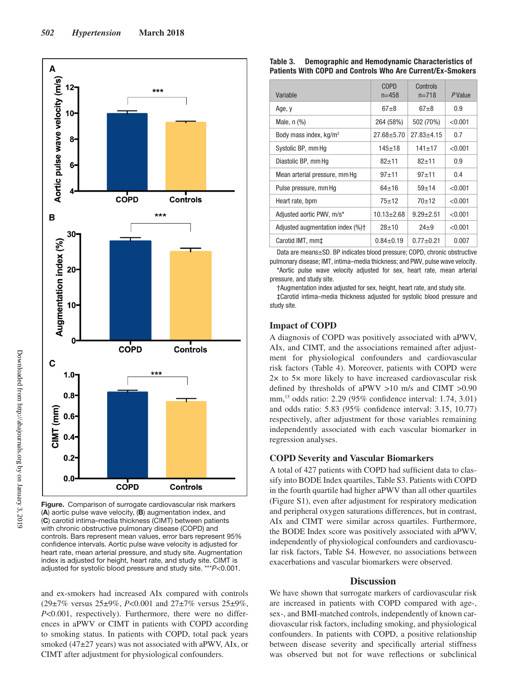

**Figure.** Comparison of surrogate cardiovascular risk markers (**A**) aortic pulse wave velocity, (**B**) augmentation index, and (**C**) carotid intima–media thickness (CIMT) between patients with chronic obstructive pulmonary disease (COPD) and controls. Bars represent mean values, error bars represent 95% confidence intervals. Aortic pulse wave velocity is adjusted for heart rate, mean arterial pressure, and study site. Augmentation index is adjusted for height, heart rate, and study site. CIMT is adjusted for systolic blood pressure and study site. \*\*\**P*<0.001.

and ex-smokers had increased AIx compared with controls (29±7% versus 25±9%, *P*<0.001 and 27±7% versus 25±9%, *P*<0.001, respectively). Furthermore, there were no differences in aPWV or CIMT in patients with COPD according to smoking status. In patients with COPD, total pack years smoked (47±27 years) was not associated with aPWV, AIx, or CIMT after adjustment for physiological confounders.

## **Table 3. Demographic and Hemodynamic Characteristics of Patients With COPD and Controls Who Are Current/Ex-Smokers**

| Variable                             | <b>COPD</b><br>$n = 458$ | Controls<br>$n = 718$ | <i>P</i> Value |
|--------------------------------------|--------------------------|-----------------------|----------------|
| Age, y                               | $67 + 8$                 | $67 + 8$              | 0.9            |
| Male, $n$ $\left(\frac{9}{6}\right)$ | 264 (58%)                | 502 (70%)             | < 0.001        |
| Body mass index, $kq/m^2$            | $27.68 \pm 5.70$         | $27.83 \pm 4.15$      | 0.7            |
| Systolic BP, mm Hq                   | $145 + 18$               | $141 + 17$            | < 0.001        |
| Diastolic BP, mm Hq                  | $82 + 11$                | $82 + 11$             | 0.9            |
| Mean arterial pressure, mm Hq        | $97 + 11$                | $97 + 11$             | 0.4            |
| Pulse pressure, mm Hq                | $64 + 16$                | $59 + 14$             | < 0.001        |
| Heart rate, bpm                      | $75 + 12$                | $70+12$               | < 0.001        |
| Adjusted aortic PWV, m/s*            | $10.13 \pm 2.68$         | $9.29 + 2.51$         | < 0.001        |
| Adjusted augmentation index (%)+     | $28 + 10$                | $24 + 9$              | < 0.001        |
| Carotid IMT, mm‡                     | $0.84 \pm 0.19$          | $0.77 + 0.21$         | 0.007          |

Data are means±SD. BP indicates blood pressure; COPD, chronic obstructive pulmonary disease; IMT, intima–media thickness; and PWV, pulse wave velocity. \*Aortic pulse wave velocity adjusted for sex, heart rate, mean arterial pressure, and study site.

†Augmentation index adjusted for sex, height, heart rate, and study site.

‡Carotid intima–media thickness adjusted for systolic blood pressure and study site.

## **Impact of COPD**

A diagnosis of COPD was positively associated with aPWV, AIx, and CIMT, and the associations remained after adjustment for physiological confounders and cardiovascular risk factors (Table 4). Moreover, patients with COPD were 2× to 5× more likely to have increased cardiovascular risk defined by thresholds of aPWV >10 m/s and CIMT >0.90 mm,15 odds ratio: 2.29 (95% confidence interval: 1.74, 3.01) and odds ratio: 5.83 (95% confidence interval: 3.15, 10.77) respectively, after adjustment for those variables remaining independently associated with each vascular biomarker in regression analyses.

## **COPD Severity and Vascular Biomarkers**

A total of 427 patients with COPD had sufficient data to classify into BODE Index quartiles, Table S3. Patients with COPD in the fourth quartile had higher aPWV than all other quartiles (Figure S1), even after adjustment for respiratory medication and peripheral oxygen saturations differences, but in contrast, AIx and CIMT were similar across quartiles. Furthermore, the BODE Index score was positively associated with aPWV, independently of physiological confounders and cardiovascular risk factors, Table S4. However, no associations between exacerbations and vascular biomarkers were observed.

# **Discussion**

We have shown that surrogate markers of cardiovascular risk are increased in patients with COPD compared with age-, sex-, and BMI-matched controls, independently of known cardiovascular risk factors, including smoking, and physiological confounders. In patients with COPD, a positive relationship between disease severity and specifically arterial stiffness was observed but not for wave reflections or subclinical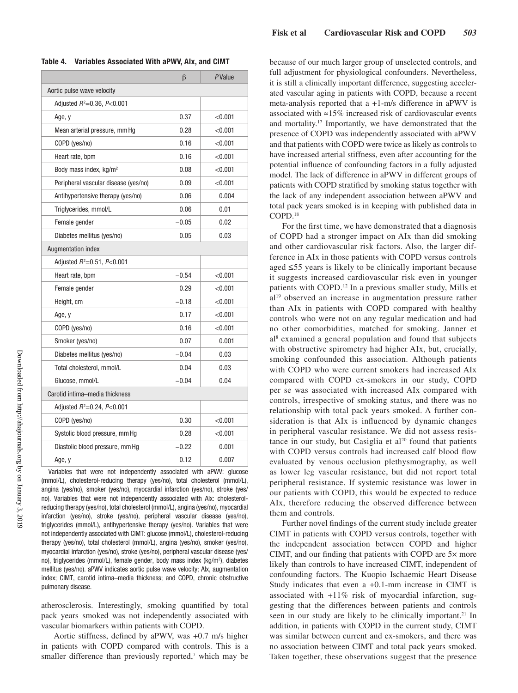|                                      | β       | <b>P</b> Value |  |  |
|--------------------------------------|---------|----------------|--|--|
| Aortic pulse wave velocity           |         |                |  |  |
| Adjusted $R^2 = 0.36$ , $P < 0.001$  |         |                |  |  |
| Age, y                               | 0.37    | < 0.001        |  |  |
| Mean arterial pressure, mm Hq        | 0.28    | < 0.001        |  |  |
| COPD (yes/no)                        | 0.16    | < 0.001        |  |  |
| Heart rate, bpm                      | 0.16    | < 0.001        |  |  |
| Body mass index, kg/m <sup>2</sup>   | 0.08    | < 0.001        |  |  |
| Peripheral vascular disease (yes/no) | 0.09    | < 0.001        |  |  |
| Antihypertensive therapy (yes/no)    | 0.06    | 0.004          |  |  |
| Triglycerides, mmol/L                | 0.06    | 0.01           |  |  |
| Female gender                        | $-0.05$ | 0.02           |  |  |
| Diabetes mellitus (yes/no)           | 0.05    | 0.03           |  |  |
| <b>Augmentation index</b>            |         |                |  |  |
| Adjusted $R^2 = 0.51$ , $P < 0.001$  |         |                |  |  |
| Heart rate, bpm                      | $-0.54$ | < 0.001        |  |  |
| Female gender                        | 0.29    | < 0.001        |  |  |
| Height, cm                           | $-0.18$ | < 0.001        |  |  |
| Age, y                               | 0.17    | < 0.001        |  |  |
| COPD (yes/no)                        | 0.16    | < 0.001        |  |  |
| Smoker (yes/no)                      | 0.07    | 0.001          |  |  |
| Diabetes mellitus (yes/no)           | $-0.04$ | 0.03           |  |  |
| Total cholesterol, mmol/L            | 0.04    | 0.03           |  |  |
| Glucose, mmol/L                      | $-0.04$ | 0.04           |  |  |
| Carotid intima-media thickness       |         |                |  |  |
| Adjusted $R^2 = 0.24$ , $P < 0.001$  |         |                |  |  |
| COPD (yes/no)                        | 0.30    | < 0.001        |  |  |
| Systolic blood pressure, mm Hg       | 0.28    | < 0.001        |  |  |
| Diastolic blood pressure, mm Hg      | $-0.22$ | 0.001          |  |  |
| Age, y                               | 0.12    | 0.007          |  |  |
|                                      |         |                |  |  |

**Table 4. Variables Associated With aPWV, AIx, and CIMT**

Variables that were not independently associated with aPWV: glucose (mmol/L), cholesterol-reducing therapy (yes/no), total cholesterol (mmol/L), angina (yes/no), smoker (yes/no), myocardial infarction (yes/no), stroke (yes/ no). Variables that were not independently associated with AIx: cholesterolreducing therapy (yes/no), total cholesterol (mmol/L), angina (yes/no), myocardial infarction (yes/no), stroke (yes/no), peripheral vascular disease (yes/no), triglycerides (mmol/L), antihypertensive therapy (yes/no). Variables that were not independently associated with CIMT: glucose (mmol/L), cholesterol-reducing therapy (yes/no), total cholesterol (mmol/L), angina (yes/no), smoker (yes/no), myocardial infarction (yes/no), stroke (yes/no), peripheral vascular disease (yes/ no), triglycerides (mmol/L), female gender, body mass index (kg/m2 ), diabetes mellitus (yes/no). aPWV indicates aortic pulse wave velocity; AIx, augmentation index; CIMT, carotid intima–media thickness; and COPD, chronic obstructive pulmonary disease.

atherosclerosis. Interestingly, smoking quantified by total pack years smoked was not independently associated with vascular biomarkers within patients with COPD.

Aortic stiffness, defined by aPWV, was +0.7 m/s higher in patients with COPD compared with controls. This is a smaller difference than previously reported, $\alpha$  which may be because of our much larger group of unselected controls, and full adjustment for physiological confounders. Nevertheless, it is still a clinically important difference, suggesting accelerated vascular aging in patients with COPD, because a recent meta-analysis reported that a +1-m/s difference in aPWV is associated with ≈15% increased risk of cardiovascular events and mortality.17 Importantly, we have demonstrated that the presence of COPD was independently associated with aPWV and that patients with COPD were twice as likely as controls to have increased arterial stiffness, even after accounting for the potential influence of confounding factors in a fully adjusted model. The lack of difference in aPWV in different groups of patients with COPD stratified by smoking status together with the lack of any independent association between aPWV and total pack years smoked is in keeping with published data in COPD.18

For the first time, we have demonstrated that a diagnosis of COPD had a stronger impact on AIx than did smoking and other cardiovascular risk factors. Also, the larger difference in AIx in those patients with COPD versus controls aged ≤55 years is likely to be clinically important because it suggests increased cardiovascular risk even in younger patients with COPD.12 In a previous smaller study, Mills et al19 observed an increase in augmentation pressure rather than AIx in patients with COPD compared with healthy controls who were not on any regular medication and had no other comorbidities, matched for smoking. Janner et al8 examined a general population and found that subjects with obstructive spirometry had higher AIx, but, crucially, smoking confounded this association. Although patients with COPD who were current smokers had increased AIx compared with COPD ex-smokers in our study, COPD per se was associated with increased AIx compared with controls, irrespective of smoking status, and there was no relationship with total pack years smoked. A further consideration is that AIx is influenced by dynamic changes in peripheral vascular resistance. We did not assess resistance in our study, but Casiglia et  $al^{20}$  found that patients with COPD versus controls had increased calf blood flow evaluated by venous occlusion plethysmography, as well as lower leg vascular resistance, but did not report total peripheral resistance. If systemic resistance was lower in our patients with COPD, this would be expected to reduce AIx, therefore reducing the observed difference between them and controls.

Further novel findings of the current study include greater CIMT in patients with COPD versus controls, together with the independent association between COPD and higher CIMT, and our finding that patients with COPD are 5× more likely than controls to have increased CIMT, independent of confounding factors. The Kuopio Ischaemic Heart Disease Study indicates that even a +0.1-mm increase in CIMT is associated with +11% risk of myocardial infarction, suggesting that the differences between patients and controls seen in our study are likely to be clinically important.<sup>21</sup> In addition, in patients with COPD in the current study, CIMT was similar between current and ex-smokers, and there was no association between CIMT and total pack years smoked. Taken together, these observations suggest that the presence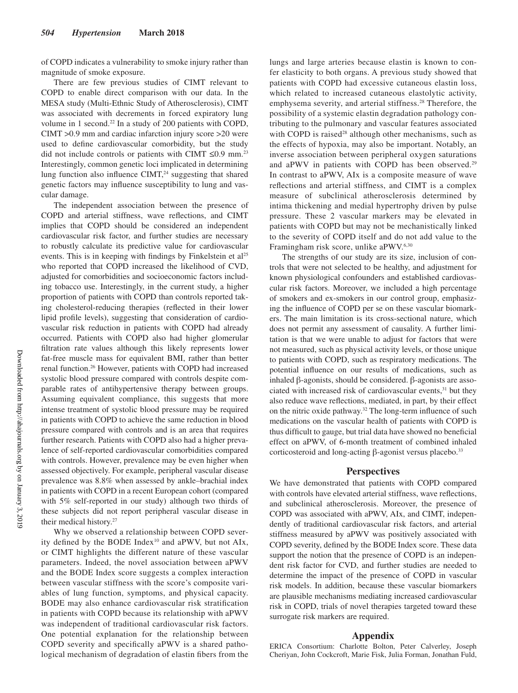of COPD indicates a vulnerability to smoke injury rather than magnitude of smoke exposure.

There are few previous studies of CIMT relevant to COPD to enable direct comparison with our data. In the MESA study (Multi-Ethnic Study of Atherosclerosis), CIMT was associated with decrements in forced expiratory lung volume in 1 second.22 In a study of 200 patients with COPD, CIMT >0.9 mm and cardiac infarction injury score >20 were used to define cardiovascular comorbidity, but the study did not include controls or patients with CIMT  $\leq 0.9$  mm.<sup>23</sup> Interestingly, common genetic loci implicated in determining lung function also influence  $CIMT<sub>1</sub><sup>24</sup>$  suggesting that shared genetic factors may influence susceptibility to lung and vascular damage.

The independent association between the presence of COPD and arterial stiffness, wave reflections, and CIMT implies that COPD should be considered an independent cardiovascular risk factor, and further studies are necessary to robustly calculate its predictive value for cardiovascular events. This is in keeping with findings by Finkelstein et al<sup>25</sup> who reported that COPD increased the likelihood of CVD, adjusted for comorbidities and socioeconomic factors including tobacco use. Interestingly, in the current study, a higher proportion of patients with COPD than controls reported taking cholesterol-reducing therapies (reflected in their lower lipid profile levels), suggesting that consideration of cardiovascular risk reduction in patients with COPD had already occurred. Patients with COPD also had higher glomerular filtration rate values although this likely represents lower fat-free muscle mass for equivalent BMI, rather than better renal function.26 However, patients with COPD had increased systolic blood pressure compared with controls despite comparable rates of antihypertensive therapy between groups. Assuming equivalent compliance, this suggests that more intense treatment of systolic blood pressure may be required in patients with COPD to achieve the same reduction in blood pressure compared with controls and is an area that requires further research. Patients with COPD also had a higher prevalence of self-reported cardiovascular comorbidities compared with controls. However, prevalence may be even higher when assessed objectively. For example, peripheral vascular disease prevalence was 8.8% when assessed by ankle–brachial index in patients with COPD in a recent European cohort (compared with 5% self-reported in our study) although two thirds of these subjects did not report peripheral vascular disease in their medical history.27

Why we observed a relationship between COPD severity defined by the BODE Index<sup>10</sup> and aPWV, but not AIx, or CIMT highlights the different nature of these vascular parameters. Indeed, the novel association between aPWV and the BODE Index score suggests a complex interaction between vascular stiffness with the score's composite variables of lung function, symptoms, and physical capacity. BODE may also enhance cardiovascular risk stratification in patients with COPD because its relationship with aPWV was independent of traditional cardiovascular risk factors. One potential explanation for the relationship between COPD severity and specifically aPWV is a shared pathological mechanism of degradation of elastin fibers from the lungs and large arteries because elastin is known to confer elasticity to both organs. A previous study showed that patients with COPD had excessive cutaneous elastin loss, which related to increased cutaneous elastolytic activity, emphysema severity, and arterial stiffness.<sup>28</sup> Therefore, the possibility of a systemic elastin degradation pathology contributing to the pulmonary and vascular features associated with COPD is raised<sup>28</sup> although other mechanisms, such as the effects of hypoxia, may also be important. Notably, an inverse association between peripheral oxygen saturations and aPWV in patients with COPD has been observed.<sup>29</sup> In contrast to aPWV, AIx is a composite measure of wave reflections and arterial stiffness, and CIMT is a complex measure of subclinical atherosclerosis determined by intima thickening and medial hypertrophy driven by pulse pressure. These 2 vascular markers may be elevated in patients with COPD but may not be mechanistically linked to the severity of COPD itself and do not add value to the Framingham risk score, unlike aPWV.6,30

The strengths of our study are its size, inclusion of controls that were not selected to be healthy, and adjustment for known physiological confounders and established cardiovascular risk factors. Moreover, we included a high percentage of smokers and ex-smokers in our control group, emphasizing the influence of COPD per se on these vascular biomarkers. The main limitation is its cross-sectional nature, which does not permit any assessment of causality. A further limitation is that we were unable to adjust for factors that were not measured, such as physical activity levels, or those unique to patients with COPD, such as respiratory medications. The potential influence on our results of medications, such as inhaled β-agonists, should be considered. β-agonists are associated with increased risk of cardiovascular events,<sup>31</sup> but they also reduce wave reflections, mediated, in part, by their effect on the nitric oxide pathway.32 The long-term influence of such medications on the vascular health of patients with COPD is thus difficult to gauge, but trial data have showed no beneficial effect on aPWV, of 6-month treatment of combined inhaled corticosteroid and long-acting β-agonist versus placebo.<sup>33</sup>

## **Perspectives**

We have demonstrated that patients with COPD compared with controls have elevated arterial stiffness, wave reflections, and subclinical atherosclerosis. Moreover, the presence of COPD was associated with aPWV, AIx, and CIMT, independently of traditional cardiovascular risk factors, and arterial stiffness measured by aPWV was positively associated with COPD severity, defined by the BODE Index score. These data support the notion that the presence of COPD is an independent risk factor for CVD, and further studies are needed to determine the impact of the presence of COPD in vascular risk models. In addition, because these vascular biomarkers are plausible mechanisms mediating increased cardiovascular risk in COPD, trials of novel therapies targeted toward these surrogate risk markers are required.

#### **Appendix**

ERICA Consortium: Charlotte Bolton, Peter Calverley, Joseph Cheriyan, John Cockcroft, Marie Fisk, Julia Forman, Jonathan Fuld,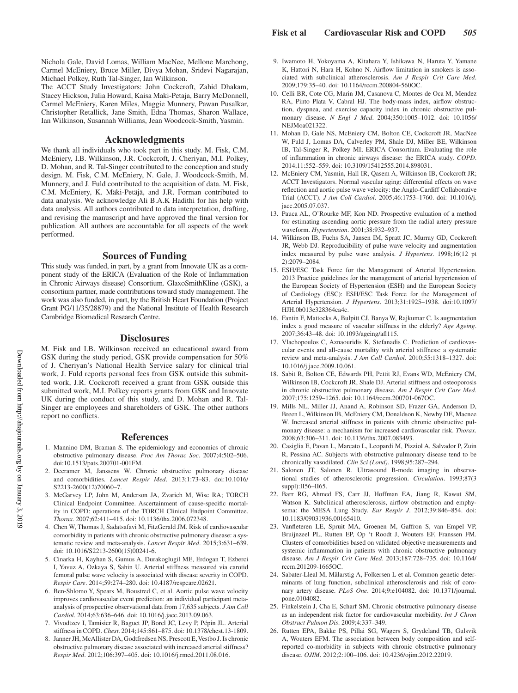Nichola Gale, David Lomas, William MacNee, Mellone Marchong, Carmel McEniery, Bruce Miller, Divya Mohan, Sridevi Nagarajan, Michael Polkey, Ruth Tal-Singer, Ian Wilkinson.

The ACCT Study Investigators: John Cockcroft, Zahid Dhakam, Stacey Hickson, Julia Howard, Kaisa Maki-Petaja, Barry McDonnell, Carmel McEniery, Karen Miles, Maggie Munnery, Pawan Pusalkar, Christopher Retallick, Jane Smith, Edna Thomas, Sharon Wallace, Ian Wilkinson, Susannah Williams, Jean Woodcock-Smith, Yasmin.

#### **Acknowledgments**

We thank all individuals who took part in this study. M. Fisk, C.M. McEniery, I.B. Wilkinson, J.R. Cockcroft, J. Cheriyan, M.I. Polkey, D. Mohan, and R. Tal-Singer contributed to the conception and study design. M. Fisk, C.M. McEniery, N. Gale, J. Woodcock-Smith, M. Munnery, and J. Fuld contributed to the acquisition of data. M. Fisk, C.M. McEniery, K. Mäki-Petäjä, and J.R. Forman contributed to data analysis. We acknowledge Ali B.A.K Hadithi for his help with data analysis. All authors contributed to data interpretation, drafting, and revising the manuscript and have approved the final version for publication. All authors are accountable for all aspects of the work performed.

#### **Sources of Funding**

This study was funded, in part, by a grant from Innovate UK as a component study of the ERICA (Evaluation of the Role of Inflammation in Chronic Airways disease) Consortium. GlaxoSmithKline (GSK), a consortium partner, made contributions toward study management. The work was also funded, in part, by the British Heart Foundation (Project Grant PG/11/35/28879) and the National Institute of Health Research Cambridge Biomedical Research Centre.

#### **Disclosures**

M. Fisk and I.B. Wilkinson received an educational award from GSK during the study period, GSK provide compensation for 50% of J. Cheriyan's National Health Service salary for clinical trial work, J. Fuld reports personal fees from GSK outside this submitted work, J.R. Cockcroft received a grant from GSK outside this submitted work, M.I. Polkey reports grants from GSK and Innovate UK during the conduct of this study, and D. Mohan and R. Tal-Singer are employees and shareholders of GSK. The other authors report no conflicts.

#### **References**

- 1. Mannino DM, Braman S. The epidemiology and economics of chronic obstructive pulmonary disease. *Proc Am Thorac Soc*. 2007;4:502–506. doi:10.1513/pats.200701-001FM.
- 2. Decramer M, Janssens W. Chronic obstructive pulmonary disease and comorbidities. *Lancet Respir Med*. 2013;1:73–83. doi:10.1016/ S2213-2600(12)70060–7.
- 3. McGarvey LP, John M, Anderson JA, Zvarich M, Wise RA; TORCH Clinical Endpoint Committee. Ascertainment of cause-specific mortality in COPD: operations of the TORCH Clinical Endpoint Committee. *Thorax*. 2007;62:411–415. doi: 10.1136/thx.2006.072348.
- 4. Chen W, Thomas J, Sadatsafavi M, FitzGerald JM. Risk of cardiovascular comorbidity in patients with chronic obstructive pulmonary disease: a systematic review and meta-analysis. *Lancet Respir Med*. 2015;3:631–639. doi: 10.1016/S2213-2600(15)00241-6.
- 5. Cinarka H, Kayhan S, Gumus A, Durakoglugil ME, Erdogan T, Ezberci I, Yavuz A, Ozkaya S, Sahin U. Arterial stiffness measured via carotid femoral pulse wave velocity is associated with disease severity in COPD. *Respir Care*. 2014;59:274–280. doi: 10.4187/respcare.02621.
- 6. Ben-Shlomo Y, Spears M, Boustred C, et al. Aortic pulse wave velocity improves cardiovascular event prediction: an individual participant metaanalysis of prospective observational data from 17,635 subjects. *J Am Coll Cardiol*. 2014;63:636–646. doi: 10.1016/j.jacc.2013.09.063.
- 7. Vivodtzev I, Tamisier R, Baguet JP, Borel JC, Levy P, Pépin JL. Arterial stiffness in COPD. *Chest*. 2014;145:861–875. doi: 10.1378/chest.13-1809.
- 8. Janner JH, McAllister DA, Godtfredsen NS, Prescott E, Vestbo J. Is chronic obstructive pulmonary disease associated with increased arterial stiffness? *Respir Med*. 2012;106:397–405. doi: 10.1016/j.rmed.2011.08.016.
- 9. Iwamoto H, Yokoyama A, Kitahara Y, Ishikawa N, Haruta Y, Yamane K, Hattori N, Hara H, Kohno N. Airflow limitation in smokers is associated with subclinical atherosclerosis. *Am J Respir Crit Care Med*. 2009;179:35–40. doi: 10.1164/rccm.200804-560OC.
- 10. Celli BR, Cote CG, Marin JM, Casanova C, Montes de Oca M, Mendez RA, Pinto Plata V, Cabral HJ. The body-mass index, airflow obstruction, dyspnea, and exercise capacity index in chronic obstructive pulmonary disease. *N Engl J Med*. 2004;350:1005–1012. doi: 10.1056/ NEJMoa021322.
- 11. Mohan D, Gale NS, McEniery CM, Bolton CE, Cockcroft JR, MacNee W, Fuld J, Lomas DA, Calverley PM, Shale DJ, Miller BE, Wilkinson IB, Tal-Singer R, Polkey MI; ERICA Consortium. Evaluating the role of inflammation in chronic airways disease: the ERICA study. *COPD*. 2014;11:552–559. doi: 10.3109/15412555.2014.898031.
- 12. McEniery CM, Yasmin, Hall IR, Qasem A, Wilkinson IB, Cockcroft JR; ACCT Investigators. Normal vascular aging: differential effects on wave reflection and aortic pulse wave velocity: the Anglo-Cardiff Collaborative Trial (ACCT). *J Am Coll Cardiol*. 2005;46:1753–1760. doi: 10.1016/j. jacc.2005.07.037.
- 13. Pauca AL, O'Rourke MF, Kon ND. Prospective evaluation of a method for estimating ascending aortic pressure from the radial artery pressure waveform. *Hypertension*. 2001;38:932–937.
- 14. Wilkinson IB, Fuchs SA, Jansen IM, Spratt JC, Murray GD, Cockcroft JR, Webb DJ. Reproducibility of pulse wave velocity and augmentation index measured by pulse wave analysis. *J Hypertens*. 1998;16(12 pt 2):2079–2084.
- 15. ESH/ESC Task Force for the Management of Arterial Hypertension. 2013 Practice guidelines for the management of arterial hypertension of the European Society of Hypertension (ESH) and the European Society of Cardiology (ESC): ESH/ESC Task Force for the Management of Arterial Hypertension. *J Hypertens*. 2013;31:1925–1938. doi:10.1097/ HJH.0b013e328364ca4c.
- 16. Fantin F, Mattocks A, Bulpitt CJ, Banya W, Rajkumar C. Is augmentation index a good measure of vascular stiffness in the elderly? *Age Ageing*. 2007;36:43–48. doi: 10.1093/ageing/afl115.
- 17. Vlachopoulos C, Aznaouridis K, Stefanadis C. Prediction of cardiovascular events and all-cause mortality with arterial stiffness: a systematic review and meta-analysis. *J Am Coll Cardiol*. 2010;55:1318–1327. doi: 10.1016/j.jacc.2009.10.061.
- 18. Sabit R, Bolton CE, Edwards PH, Pettit RJ, Evans WD, McEniery CM, Wilkinson IB, Cockcroft JR, Shale DJ. Arterial stiffness and osteoporosis in chronic obstructive pulmonary disease. *Am J Respir Crit Care Med*. 2007;175:1259–1265. doi: 10.1164/rccm.200701-067OC.
- 19. Mills NL, Miller JJ, Anand A, Robinson SD, Frazer GA, Anderson D, Breen L, Wilkinson IB, McEniery CM, Donaldson K, Newby DE, Macnee W. Increased arterial stiffness in patients with chronic obstructive pulmonary disease: a mechanism for increased cardiovascular risk. *Thorax*. 2008;63:306–311. doi: 10.1136/thx.2007.083493.
- 20. Casiglia E, Pavan L, Marcato L, Leopardi M, Pizziol A, Salvador P, Zuin R, Pessina AC. Subjects with obstructive pulmonary disease tend to be chronically vasodilated. *Clin Sci (Lond)*. 1998;95:287–294.
- 21. Salonen JT, Salonen R. Ultrasound B-mode imaging in observational studies of atherosclerotic progression. *Circulation*. 1993;87(3 suppl):II56–II65.
- 22. Barr RG, Ahmed FS, Carr JJ, Hoffman EA, Jiang R, Kawut SM, Watson K. Subclinical atherosclerosis, airflow obstruction and emphysema: the MESA Lung Study. *Eur Respir J*. 2012;39:846–854. doi: 10.1183/09031936.00165410.
- 23. Vanfleteren LE, Spruit MA, Groenen M, Gaffron S, van Empel VP, Bruijnzeel PL, Rutten EP, Op 't Roodt J, Wouters EF, Franssen FM. Clusters of comorbidities based on validated objective measurements and systemic inflammation in patients with chronic obstructive pulmonary disease. *Am J Respir Crit Care Med*. 2013;187:728–735. doi: 10.1164/ rccm.201209-1665OC.
- 24. Sabater-Lleal M, Mälarstig A, Folkersen L et al. Common genetic determinants of lung function, subclinical atherosclerosis and risk of coronary artery disease. *PLoS One*. 2014;9:e104082. doi: 10.1371/journal. pone.0104082.
- 25. Finkelstein J, Cha E, Scharf SM. Chronic obstructive pulmonary disease as an independent risk factor for cardiovascular morbidity. *Int J Chron Obstruct Pulmon Dis*. 2009;4:337–349.
- 26. Rutten EPA, Bakke PS, Pillai SG, Wagers S, Grydeland TB, Gulsvik A, Wouters EFM. The association between body composition and selfreported co-morbidity in subjects with chronic obstructive pulmonary disease. *OJIM*. 2012;2:100–106. doi: 10.4236/ojim.2012.22019.